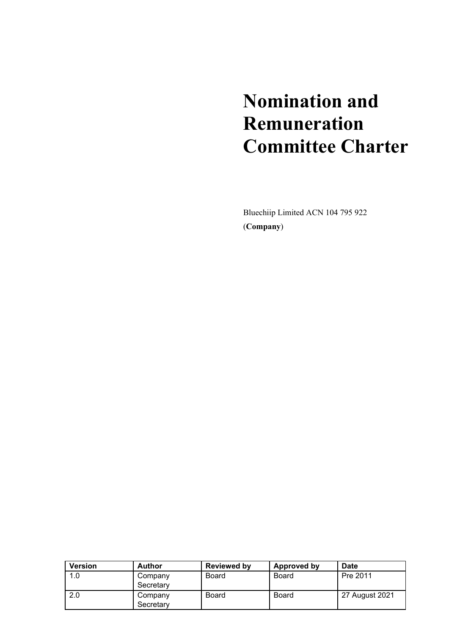# **Nomination and Remuneration Committee Charter**

Bluechiip Limited ACN 104 795 922 (**Company**)

| <b>Version</b> | <b>Author</b>        | <b>Reviewed by</b> | Approved by  | Date           |
|----------------|----------------------|--------------------|--------------|----------------|
| 1.0            | Company<br>Secretary | Board              | <b>Board</b> | Pre 2011       |
| 2.0            | Company<br>Secretary | <b>Board</b>       | <b>Board</b> | 27 August 2021 |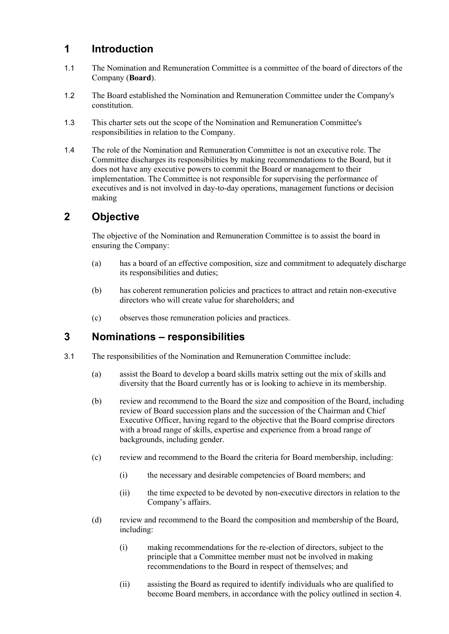## **1 Introduction**

- 1.1 The Nomination and Remuneration Committee is a committee of the board of directors of the Company (**Board**).
- 1.2 The Board established the Nomination and Remuneration Committee under the Company's constitution.
- 1.3 This charter sets out the scope of the Nomination and Remuneration Committee's responsibilities in relation to the Company.
- 1.4 The role of the Nomination and Remuneration Committee is not an executive role. The Committee discharges its responsibilities by making recommendations to the Board, but it does not have any executive powers to commit the Board or management to their implementation. The Committee is not responsible for supervising the performance of executives and is not involved in day-to-day operations, management functions or decision making

# **2 Objective**

The objective of the Nomination and Remuneration Committee is to assist the board in ensuring the Company:

- (a) has a board of an effective composition, size and commitment to adequately discharge its responsibilities and duties;
- (b) has coherent remuneration policies and practices to attract and retain non-executive directors who will create value for shareholders; and
- (c) observes those remuneration policies and practices.

## **3 Nominations – responsibilities**

- 3.1 The responsibilities of the Nomination and Remuneration Committee include:
	- (a) assist the Board to develop a board skills matrix setting out the mix of skills and diversity that the Board currently has or is looking to achieve in its membership.
	- (b) review and recommend to the Board the size and composition of the Board, including review of Board succession plans and the succession of the Chairman and Chief Executive Officer, having regard to the objective that the Board comprise directors with a broad range of skills, expertise and experience from a broad range of backgrounds, including gender.
	- (c) review and recommend to the Board the criteria for Board membership, including:
		- (i) the necessary and desirable competencies of Board members; and
		- (ii) the time expected to be devoted by non-executive directors in relation to the Company's affairs.
	- (d) review and recommend to the Board the composition and membership of the Board, including:
		- (i) making recommendations for the re-election of directors, subject to the principle that a Committee member must not be involved in making recommendations to the Board in respect of themselves; and
		- (ii) assisting the Board as required to identify individuals who are qualified to become Board members, in accordance with the policy outlined in section 4.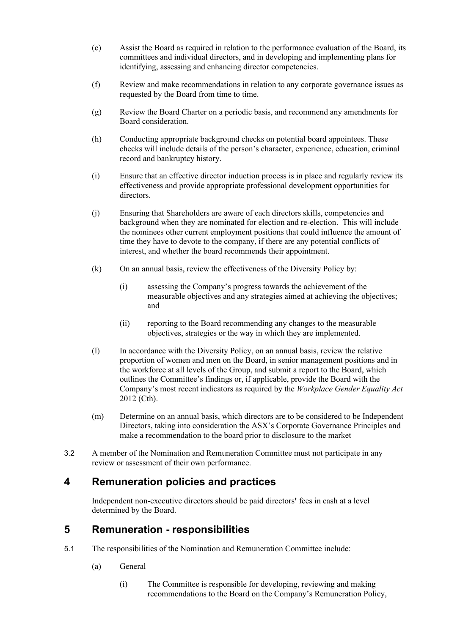- (e) Assist the Board as required in relation to the performance evaluation of the Board, its committees and individual directors, and in developing and implementing plans for identifying, assessing and enhancing director competencies.
- (f) Review and make recommendations in relation to any corporate governance issues as requested by the Board from time to time.
- (g) Review the Board Charter on a periodic basis, and recommend any amendments for Board consideration.
- (h) Conducting appropriate background checks on potential board appointees. These checks will include details of the person's character, experience, education, criminal record and bankruptcy history.
- (i) Ensure that an effective director induction process is in place and regularly review its effectiveness and provide appropriate professional development opportunities for directors.
- (j) Ensuring that Shareholders are aware of each directors skills, competencies and background when they are nominated for election and re-election. This will include the nominees other current employment positions that could influence the amount of time they have to devote to the company, if there are any potential conflicts of interest, and whether the board recommends their appointment.
- (k) On an annual basis, review the effectiveness of the Diversity Policy by:
	- (i) assessing the Company's progress towards the achievement of the measurable objectives and any strategies aimed at achieving the objectives; and
	- (ii) reporting to the Board recommending any changes to the measurable objectives, strategies or the way in which they are implemented.
- (l) In accordance with the Diversity Policy, on an annual basis, review the relative proportion of women and men on the Board, in senior management positions and in the workforce at all levels of the Group, and submit a report to the Board, which outlines the Committee's findings or, if applicable, provide the Board with the Company's most recent indicators as required by the *Workplace Gender Equality Act* 2012 (Cth).
- (m) Determine on an annual basis, which directors are to be considered to be Independent Directors, taking into consideration the ASX's Corporate Governance Principles and make a recommendation to the board prior to disclosure to the market
- 3.2 A member of the Nomination and Remuneration Committee must not participate in any review or assessment of their own performance.

# **4 Remuneration policies and practices**

Independent non-executive directors should be paid directors**'** fees in cash at a level determined by the Board.

## **5 Remuneration - responsibilities**

- 5.1 The responsibilities of the Nomination and Remuneration Committee include:
	- (a) General
		- (i) The Committee is responsible for developing, reviewing and making recommendations to the Board on the Company's Remuneration Policy,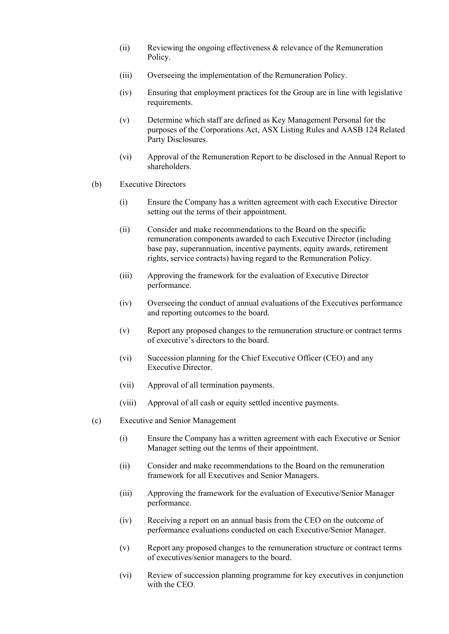- (ii) Reviewing the ongoing effectiveness & relevance of the Remuneration Policy.
- (iii) Overseeing the implementation of the Remuneration Policy.
- (iv) Ensuring that employment practices for the Group are in line with legislative requirements.
- (v) Determine which staff are defined as Key Management Personal for the purposes of the Corporations Act, ASX Listing Rules and AASB 124 Related Party Disclosures.
- (vi) Approval of the Remuneration Report to be disclosed in the Annual Report to shareholders.
- (b) Executive Directors
	- (i) Ensure the Company has a written agreement with each Executive Director setting out the terms of their appointment.
	- (ii) Consider and make recommendations to the Board on the specific remuneration components awarded to each Executive Director (including base pay, superannuation, incentive payments, equity awards, retirement rights, service contracts) having regard to the Remuneration Policy.
	- (iii) Approving the framework for the evaluation of Executive Director performance.
	- (iv) Overseeing the conduct of annual evaluations of the Executives performance and reporting outcomes to the board.
	- (v) Report any proposed changes to the remuneration structure or contract terms of executive's directors to the board.
	- (vi) Succession planning for the Chief Executive Officer (CEO) and any Executive Director.
	- (vii) Approval of all termination payments.
	- (viii) Approval of all cash or equity settled incentive payments.
- (c) Executive and Senior Management
	- (i) Ensure the Company has a written agreement with each Executive or Senior Manager setting out the terms of their appointment.
	- (ii) Consider and make recommendations to the Board on the remuneration framework for all Executives and Senior Managers.
	- (iii) Approving the framework for the evaluation of Executive/Senior Manager performance.
	- (iv) Receiving a report on an annual basis from the CEO on the outcome of performance evaluations conducted on each Executive/Senior Manager.
	- (v) Report any proposed changes to the remuneration structure or contract terms of executives/senior managers to the board.
	- (vi) Review of succession planning programme for key executives in conjunction with the CEO.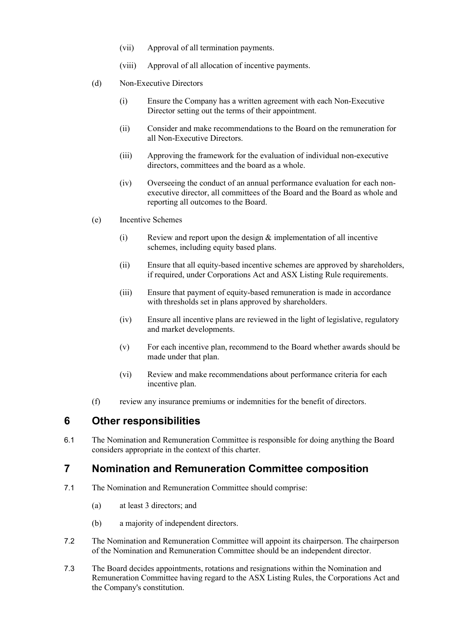- (vii) Approval of all termination payments.
- (viii) Approval of all allocation of incentive payments.
- (d) Non-Executive Directors
	- (i) Ensure the Company has a written agreement with each Non-Executive Director setting out the terms of their appointment.
	- (ii) Consider and make recommendations to the Board on the remuneration for all Non-Executive Directors.
	- (iii) Approving the framework for the evaluation of individual non-executive directors, committees and the board as a whole.
	- (iv) Overseeing the conduct of an annual performance evaluation for each nonexecutive director, all committees of the Board and the Board as whole and reporting all outcomes to the Board.
- (e) Incentive Schemes
	- (i) Review and report upon the design & implementation of all incentive schemes, including equity based plans.
	- (ii) Ensure that all equity-based incentive schemes are approved by shareholders, if required, under Corporations Act and ASX Listing Rule requirements.
	- (iii) Ensure that payment of equity-based remuneration is made in accordance with thresholds set in plans approved by shareholders.
	- (iv) Ensure all incentive plans are reviewed in the light of legislative, regulatory and market developments.
	- (v) For each incentive plan, recommend to the Board whether awards should be made under that plan.
	- (vi) Review and make recommendations about performance criteria for each incentive plan.
- (f) review any insurance premiums or indemnities for the benefit of directors.

#### **6 Other responsibilities**

6.1 The Nomination and Remuneration Committee is responsible for doing anything the Board considers appropriate in the context of this charter.

## **7 Nomination and Remuneration Committee composition**

- 7.1 The Nomination and Remuneration Committee should comprise:
	- (a) at least 3 directors; and
	- (b) a majority of independent directors.
- 7.2 The Nomination and Remuneration Committee will appoint its chairperson. The chairperson of the Nomination and Remuneration Committee should be an independent director.
- 7.3 The Board decides appointments, rotations and resignations within the Nomination and Remuneration Committee having regard to the ASX Listing Rules, the Corporations Act and the Company's constitution.